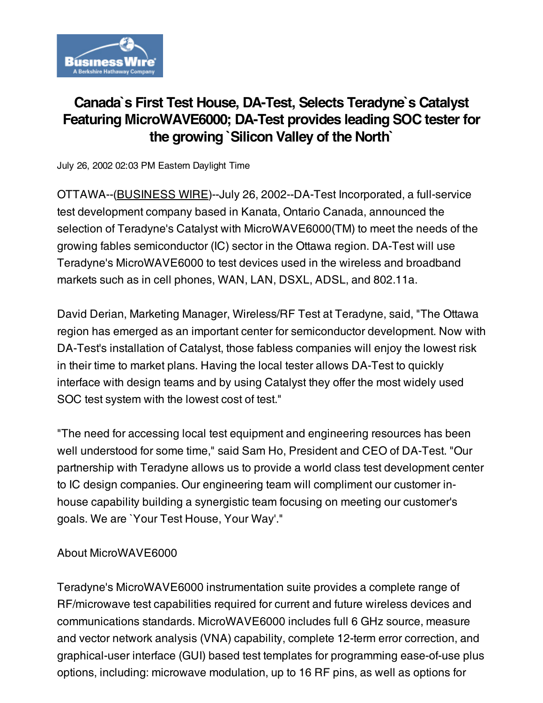

# Canada`s First Test House, DA-Test, Selects Teradyne`s Catalyst Featuring MicroWAVE6000; DA-Test provides leading SOC tester for the growing `Silicon Valley of the North`

July 26, 2002 02:03 PM Eastern Daylight Time

OTTAWA--[\(BUSINESS](http://www.businesswire.com/) WIRE)--July 26, 2002--DA-Test Incorporated, a full-service test development company based in Kanata, Ontario Canada, announced the selection of Teradyne's Catalyst with MicroWAVE6000(TM) to meet the needs of the growing fables semiconductor (IC) sector in the Ottawa region. DA-Test will use Teradyne's MicroWAVE6000 to test devices used in the wireless and broadband markets such as in cell phones, WAN, LAN, DSXL, ADSL, and 802.11a.

David Derian, Marketing Manager, Wireless/RF Test at Teradyne, said, "The Ottawa region has emerged as an important center for semiconductor development. Now with DA-Test's installation of Catalyst, those fabless companies will enjoy the lowest risk in their time to market plans. Having the local tester allows DA-Test to quickly interface with design teams and by using Catalyst they offer the most widely used SOC test system with the lowest cost of test."

"The need for accessing local test equipment and engineering resources has been well understood for some time," said Sam Ho, President and CEO of DA-Test. "Our partnership with Teradyne allows us to provide a world class test development center to IC design companies. Our engineering team will compliment our customer inhouse capability building a synergistic team focusing on meeting our customer's goals. We are `Your Test House, Your Way'."

### About MicroWAVE6000

Teradyne's MicroWAVE6000 instrumentation suite provides a complete range of RF/microwave test capabilities required for current and future wireless devices and communications standards. MicroWAVE6000 includes full 6 GHz source, measure and vector network analysis (VNA) capability, complete 12-term error correction, and graphical-user interface (GUI) based test templates for programming ease-of-use plus options, including: microwave modulation, up to 16 RF pins, as well as options for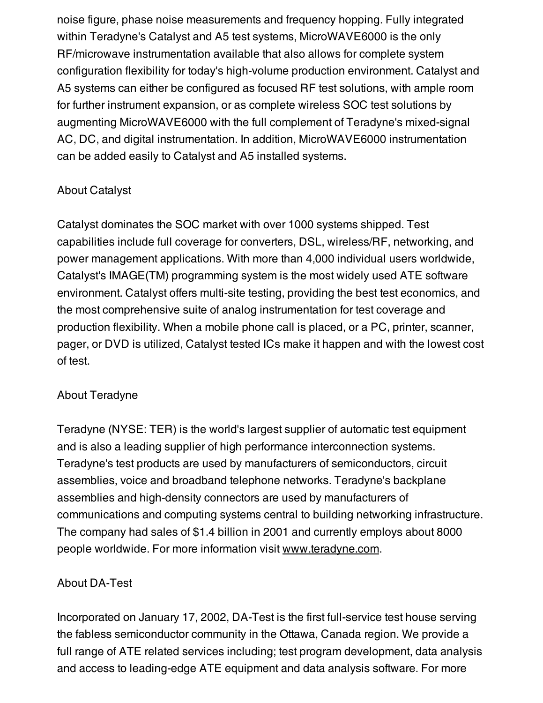noise figure, phase noise measurements and frequency hopping. Fully integrated within Teradyne's Catalyst and A5 test systems, MicroWAVE6000 is the only RF/microwave instrumentation available that also allows for complete system configuration flexibility for today's high-volume production environment. Catalyst and A5 systems can either be configured as focused RF test solutions, with ample room for further instrument expansion, or as complete wireless SOC test solutions by augmenting MicroWAVE6000 with the full complement of Teradyne's mixed-signal AC, DC, and digital instrumentation. In addition, MicroWAVE6000 instrumentation can be added easily to Catalyst and A5 installed systems.

## About Catalyst

Catalyst dominates the SOC market with over 1000 systems shipped. Test capabilities include full coverage for converters, DSL, wireless/RF, networking, and power management applications. With more than 4,000 individual users worldwide, Catalyst's IMAGE(TM) programming system is the most widely used ATE software environment. Catalyst offers multi-site testing, providing the best test economics, and the most comprehensive suite of analog instrumentation for test coverage and production flexibility. When a mobile phone call is placed, or a PC, printer, scanner, pager, or DVD is utilized, Catalyst tested ICs make it happen and with the lowest cost of test.

## About Teradyne

Teradyne (NYSE: TER) is the world's largest supplier of automatic test equipment and is also a leading supplier of high performance interconnection systems. Teradyne's test products are used by manufacturers of semiconductors, circuit assemblies, voice and broadband telephone networks. Teradyne's backplane assemblies and high-density connectors are used by manufacturers of communications and computing systems central to building networking infrastructure. The company had sales of \$1.4 billion in 2001 and currently employs about 8000 people worldwide. For more information visit [www.teradyne.com.](http://www.teradyne.com/)

## About DA-Test

Incorporated on January 17, 2002, DA-Test is the first full-service test house serving the fabless semiconductor community in the Ottawa, Canada region. We provide a full range of ATE related services including; test program development, data analysis and access to leading-edge ATE equipment and data analysis software. For more